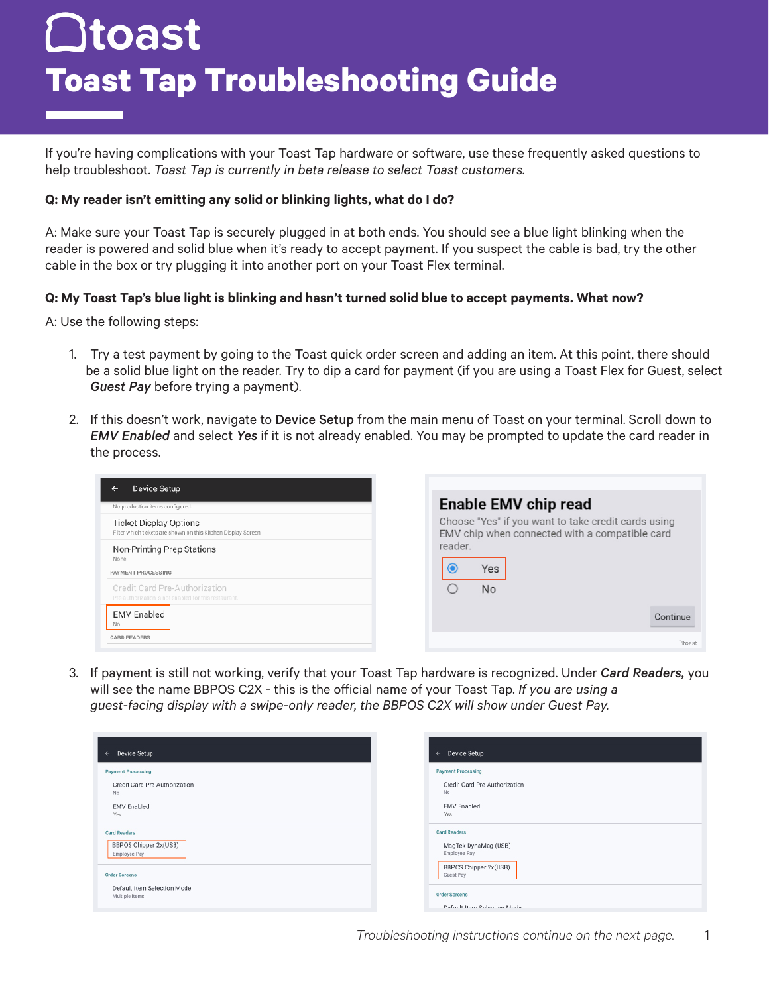# $\Box$ toast **Toast Tap Troubleshooting Guide**

If you're having complications with your Toast Tap hardware or software, use these frequently asked questions to help troubleshoot. *Toast Tap is currently in beta release to select Toast customers.*

## **Q: My reader isn't emitting any solid or blinking lights, what do I do?**

A: Make sure your Toast Tap is securely plugged in at both ends. You should see a blue light blinking when the reader is powered and solid blue when it's ready to accept payment. If you suspect the cable is bad, try the other cable in the box or try plugging it into another port on your Toast Flex terminal.

# **Q: My Toast Tap's blue light is blinking and hasn't turned solid blue to accept payments. What now?**

A: Use the following steps:

- 1. Try a test payment by going to the Toast quick order screen and adding an item. At this point, there should be a solid blue light on the reader. Try to dip a card for payment (if you are using a Toast Flex for Guest, select *Guest Pay* before trying a payment).
- 2. If this doesn't work, navigate to Device Setup from the main menu of Toast on your terminal. Scroll down to *EMV Enabled* and select *Yes* if it is not already enabled. You may be prompted to update the card reader in the process.

| Device Setup<br>←                                                                              |                                                                                                       |
|------------------------------------------------------------------------------------------------|-------------------------------------------------------------------------------------------------------|
| No production items configured.                                                                | <b>Enable EMV chip read</b>                                                                           |
| <b>Ticket Display Options</b><br>Filter which tickets are shown on this Kitchen Display Screen | Choose "Yes" if you want to take credit cards using<br>EMV chip when connected with a compatible card |
| Non-Printing Prep Stations<br>None<br>PAYMENT PROCESSING                                       | reader.<br>Yes                                                                                        |
| Credit Card Pre-Authorization<br>Pre-authorization is not enabled for this restaurant.         | <b>No</b>                                                                                             |
| <b>EMV Enabled</b><br>No                                                                       | Continue                                                                                              |
| <b>CARD READERS</b>                                                                            | <b>Otoast</b>                                                                                         |

3. If payment is still not working, verify that your Toast Tap hardware is recognized. Under *Card Readers,* you will see the name BBPOS C2X - this is the official name of your Toast Tap. *If you are using a guest-facing display with a swipe-only reader, the BBPOS C2X will show under Guest Pay.*

| Device Setup                  | Device Setup                  |
|-------------------------------|-------------------------------|
| ←                             | $\leftarrow$                  |
| <b>Payment Processing</b>     | <b>Payment Processing</b>     |
| Credit Card Pre-Authorization | Credit Card Pre-Authorization |
| No                            | No                            |
| <b>EMV</b> Enabled            | <b>EMV</b> Enabled            |
| Yes                           | Yes                           |
| <b>Card Readers</b>           | <b>Card Readers</b>           |
| BBPOS Chipper 2x(USB)         | MagTek DynaMag (USB)          |
| Employee Pay                  | Employee Pay                  |
| <b>Order Screens</b>          | BBPOS Chipper 2x(USB)         |
| Default Item Selection Mode   | Guest Pay                     |
| Multiple items                | <b>Order Screens</b>          |
| <b>CONTRACTOR</b>             | Default Item Selection Mode   |

1 *Troubleshooting instructions continue on the next page.*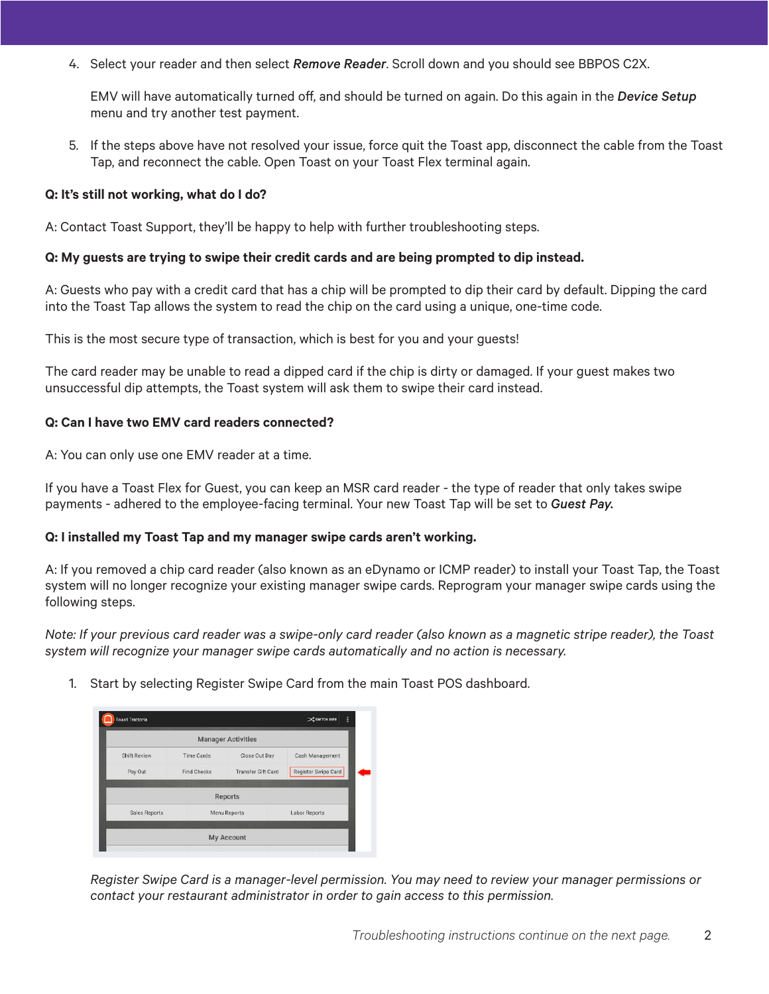4. Select your reader and then select *Remove Reader*. Scroll down and you should see BBPOS C2X.

EMV will have automatically turned off, and should be turned on again. Do this again in the *Device Setup* menu and try another test payment.

5. If the steps above have not resolved your issue, force quit the Toast app, disconnect the cable from the Toast Tap, and reconnect the cable. Open Toast on your Toast Flex terminal again.

### **Q: It's still not working, what do I do?**

A: Contact Toast Support, they'll be happy to help with further troubleshooting steps.

#### **Q: My guests are trying to swipe their credit cards and are being prompted to dip instead.**

A: Guests who pay with a credit card that has a chip will be prompted to dip their card by default. Dipping the card into the Toast Tap allows the system to read the chip on the card using a unique, one-time code.

This is the most secure type of transaction, which is best for you and your guests!

The card reader may be unable to read a dipped card if the chip is dirty or damaged. If your guest makes two unsuccessful dip attempts, the Toast system will ask them to swipe their card instead.

#### **Q: Can I have two EMV card readers connected?**

A: You can only use one EMV reader at a time.

If you have a Toast Flex for Guest, you can keep an MSR card reader - the type of reader that only takes swipe payments - adhered to the employee-facing terminal. Your new Toast Tap will be set to *Guest Pay.* 

## **Q: I installed my Toast Tap and my manager swipe cards aren't working.**

A: If you removed a chip card reader (also known as an eDynamo or ICMP reader) to install your Toast Tap, the Toast system will no longer recognize your existing manager swipe cards. Reprogram your manager swipe cards using the following steps.

*Note: If your previous card reader was a swipe-only card reader (also known as a magnetic stripe reader), the Toast system will recognize your manager swipe cards automatically and no action is necessary.*

1. Start by selecting Register Swipe Card from the main Toast POS dashboard.



*Register Swipe Card is a manager-level permission. You may need to review your manager permissions or contact your restaurant administrator in order to gain access to this permission.*